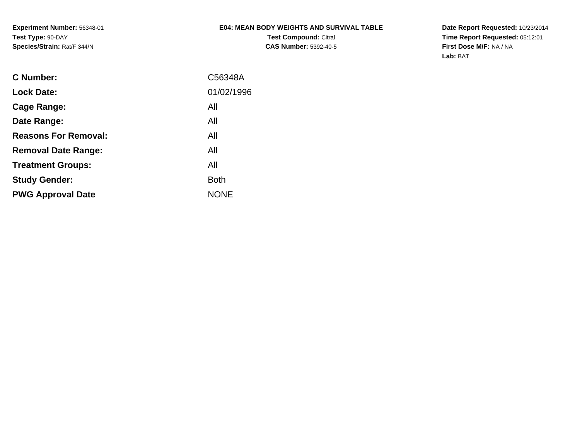**Experiment Number:** 56348-01**Test Type:** 90-DAY**Species/Strain:** Rat/F 344/N

# **E04: MEAN BODY WEIGHTS AND SURVIVAL TABLE**

**Test Compound:** Citral **CAS Number:** 5392-40-5 **Date Report Requested:** 10/23/2014 **Time Report Requested:** 05:12:01**First Dose M/F:** NA / NA**Lab:** BAT

| C Number:                   | C56348A     |
|-----------------------------|-------------|
| <b>Lock Date:</b>           | 01/02/1996  |
| Cage Range:                 | All         |
| Date Range:                 | All         |
| <b>Reasons For Removal:</b> | All         |
| <b>Removal Date Range:</b>  | All         |
| <b>Treatment Groups:</b>    | All         |
| <b>Study Gender:</b>        | Both        |
| <b>PWG Approval Date</b>    | <b>NONE</b> |
|                             |             |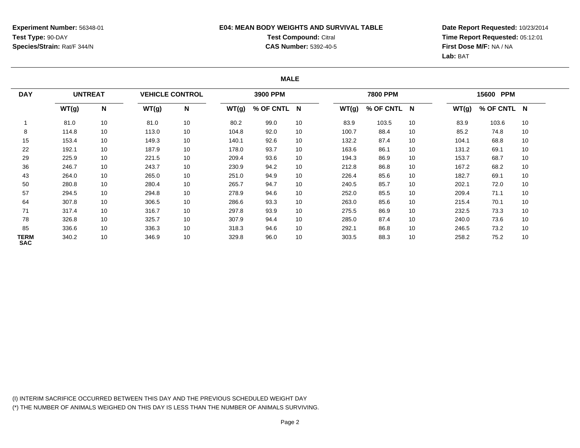## **E04: MEAN BODY WEIGHTS AND SURVIVAL TABLETest Compound:** Citral **CAS Number:** 5392-40-5

**Date Report Requested:** 10/23/2014**Time Report Requested:** 05:12:01**First Dose M/F:** NA / NA**Lab:** BAT

#### **MALE**

| <b>DAY</b><br>WT(g) |       | <b>UNTREAT</b> |       | <b>VEHICLE CONTROL</b> |       | 3900 PPM    |    |       | <b>7800 PPM</b> |    |       | 15600 PPM |          |  |
|---------------------|-------|----------------|-------|------------------------|-------|-------------|----|-------|-----------------|----|-------|-----------|----------|--|
|                     |       | N              | WT(g) | N                      | WT(g) | % OF CNTL N |    | WT(g) | % OF CNTL N     |    | WT(g) | % OF CNTL | <b>N</b> |  |
|                     | 81.0  | 10             | 81.0  | 10                     | 80.2  | 99.0        | 10 | 83.9  | 103.5           | 10 | 83.9  | 103.6     | 10       |  |
| 8                   | 114.8 | 10             | 113.0 | 10                     | 104.8 | 92.0        | 10 | 100.7 | 88.4            | 10 | 85.2  | 74.8      | 10       |  |
| 15                  | 153.4 | 10             | 149.3 | 10                     | 140.1 | 92.6        | 10 | 132.2 | 87.4            | 10 | 104.1 | 68.8      | 10       |  |
| 22                  | 192.1 | 10             | 187.9 | 10                     | 178.0 | 93.7        | 10 | 163.6 | 86.1            | 10 | 131.2 | 69.1      | 10       |  |
| 29                  | 225.9 | 10             | 221.5 | 10                     | 209.4 | 93.6        | 10 | 194.3 | 86.9            | 10 | 153.7 | 68.7      | 10       |  |
| 36                  | 246.7 | 10             | 243.7 | 10                     | 230.9 | 94.2        | 10 | 212.8 | 86.8            | 10 | 167.2 | 68.2      | 10       |  |
| 43                  | 264.0 | 10             | 265.0 | 10                     | 251.0 | 94.9        | 10 | 226.4 | 85.6            | 10 | 182.7 | 69.1      | 10       |  |
| 50                  | 280.8 | 10             | 280.4 | 10                     | 265.7 | 94.7        | 10 | 240.5 | 85.7            | 10 | 202.1 | 72.0      | 10       |  |
| 57                  | 294.5 | 10             | 294.8 | 10                     | 278.9 | 94.6        | 10 | 252.0 | 85.5            | 10 | 209.4 | 71.1      | 10       |  |
| 64                  | 307.8 | 10             | 306.5 | 10                     | 286.6 | 93.3        | 10 | 263.0 | 85.6            | 10 | 215.4 | 70.1      | 10       |  |
| 71                  | 317.4 | 10             | 316.7 | 10                     | 297.8 | 93.9        | 10 | 275.5 | 86.9            | 10 | 232.5 | 73.3      | 10       |  |
| 78                  | 326.8 | 10             | 325.7 | 10                     | 307.9 | 94.4        | 10 | 285.0 | 87.4            | 10 | 240.0 | 73.6      | 10       |  |
| 85                  | 336.6 | 10             | 336.3 | 10                     | 318.3 | 94.6        | 10 | 292.1 | 86.8            | 10 | 246.5 | 73.2      | 10       |  |
| TERM<br><b>SAC</b>  | 340.2 | 10             | 346.9 | 10                     | 329.8 | 96.0        | 10 | 303.5 | 88.3            | 10 | 258.2 | 75.2      | 10       |  |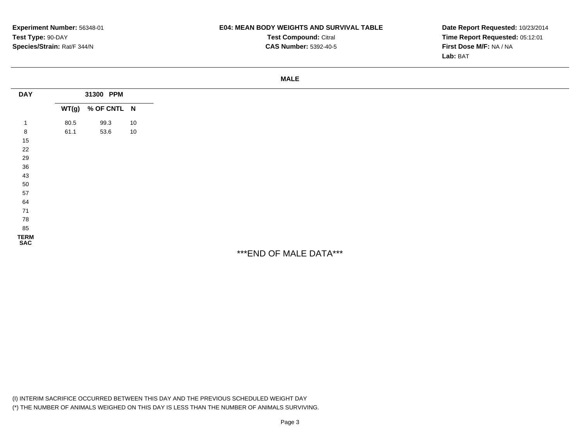#### **E04: MEAN BODY WEIGHTS AND SURVIVAL TABLE**

**Test Compound:** Citral **CAS Number:** 5392-40-5

**Date Report Requested:** 10/23/2014**Time Report Requested:** 05:12:01**First Dose M/F:** NA / NA**Lab:** BAT

| <b>DAY</b>          | 31300 PPM |                   |    |  |
|---------------------|-----------|-------------------|----|--|
|                     |           | WT(g) % OF CNTL N |    |  |
| $\mathbf 1$         | 80.5      | 99.3              | 10 |  |
| 8                   | 61.1      | 53.6              | 10 |  |
| 15                  |           |                   |    |  |
| 22                  |           |                   |    |  |
| 29                  |           |                   |    |  |
| $36\,$              |           |                   |    |  |
| 43                  |           |                   |    |  |
| 50                  |           |                   |    |  |
| 57                  |           |                   |    |  |
| 64                  |           |                   |    |  |
| $71$                |           |                   |    |  |
| 78                  |           |                   |    |  |
| 85                  |           |                   |    |  |
| <b>TERM<br/>SAC</b> |           |                   |    |  |
|                     |           |                   |    |  |

\*\*\*END OF MALE DATA\*\*\*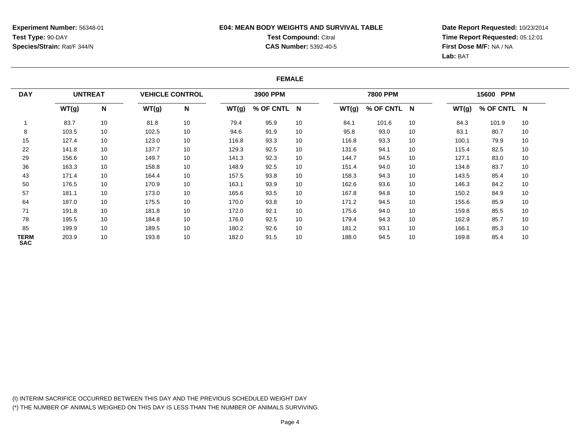## **E04: MEAN BODY WEIGHTS AND SURVIVAL TABLETest Compound:** Citral **CAS Number:** 5392-40-5

**Date Report Requested:** 10/23/2014**Time Report Requested:** 05:12:01**First Dose M/F:** NA / NA**Lab:** BAT

#### **FEMALE**

| <b>DAY</b><br>WT(g)       | <b>UNTREAT</b> |    | <b>VEHICLE CONTROL</b> |    |       | 3900 PPM    |    |       | <b>7800 PPM</b> |    |       | 15600 PPM |          |  |
|---------------------------|----------------|----|------------------------|----|-------|-------------|----|-------|-----------------|----|-------|-----------|----------|--|
|                           |                | N  | WT(g)                  | N  | WT(g) | % OF CNTL N |    | WT(g) | % OF CNTL N     |    | WT(g) | % OF CNTL | <b>N</b> |  |
|                           | 83.7           | 10 | 81.8                   | 10 | 79.4  | 95.9        | 10 | 84.1  | 101.6           | 10 | 84.3  | 101.9     | 10       |  |
| 8                         | 103.5          | 10 | 102.5                  | 10 | 94.6  | 91.9        | 10 | 95.8  | 93.0            | 10 | 83.1  | 80.7      | 10       |  |
| 15                        | 127.4          | 10 | 123.0                  | 10 | 116.8 | 93.3        | 10 | 116.8 | 93.3            | 10 | 100.1 | 79.9      | 10       |  |
| 22                        | 141.8          | 10 | 137.7                  | 10 | 129.3 | 92.5        | 10 | 131.6 | 94.1            | 10 | 115.4 | 82.5      | 10       |  |
| 29                        | 156.6          | 10 | 149.7                  | 10 | 141.3 | 92.3        | 10 | 144.7 | 94.5            | 10 | 127.1 | 83.0      | 10       |  |
| 36                        | 163.3          | 10 | 158.8                  | 10 | 148.9 | 92.5        | 10 | 151.4 | 94.0            | 10 | 134.8 | 83.7      | 10       |  |
| 43                        | 171.4          | 10 | 164.4                  | 10 | 157.5 | 93.8        | 10 | 158.3 | 94.3            | 10 | 143.5 | 85.4      | 10       |  |
| 50                        | 176.5          | 10 | 170.9                  | 10 | 163.1 | 93.9        | 10 | 162.6 | 93.6            | 10 | 146.3 | 84.2      | 10       |  |
| 57                        | 181.1          | 10 | 173.0                  | 10 | 165.6 | 93.5        | 10 | 167.8 | 94.8            | 10 | 150.2 | 84.9      | 10       |  |
| 64                        | 187.0          | 10 | 175.5                  | 10 | 170.0 | 93.8        | 10 | 171.2 | 94.5            | 10 | 155.6 | 85.9      | 10       |  |
| 71                        | 191.8          | 10 | 181.8                  | 10 | 172.0 | 92.1        | 10 | 175.6 | 94.0            | 10 | 159.8 | 85.5      | 10       |  |
| 78                        | 195.5          | 10 | 184.8                  | 10 | 176.0 | 92.5        | 10 | 179.4 | 94.3            | 10 | 162.9 | 85.7      | 10       |  |
| 85                        | 199.9          | 10 | 189.5                  | 10 | 180.2 | 92.6        | 10 | 181.2 | 93.1            | 10 | 166.1 | 85.3      | 10       |  |
| <b>TERM</b><br><b>SAC</b> | 203.9          | 10 | 193.8                  | 10 | 182.0 | 91.5        | 10 | 188.0 | 94.5            | 10 | 169.8 | 85.4      | 10       |  |